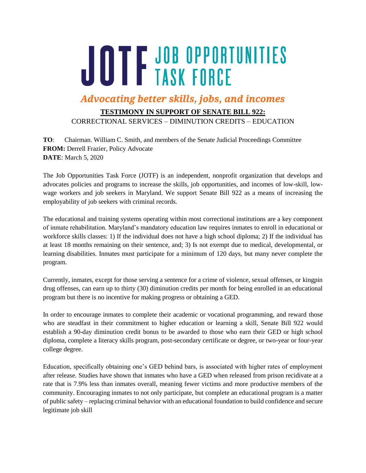## JOTF JOB OPPORTUNITIES

## **Advocating better skills, jobs, and incomes**

## **TESTIMONY IN SUPPORT OF SENATE BILL 922:**

CORRECTIONAL SERVICES – DIMINUTION CREDITS – EDUCATION

**TO**: Chairman. William C. Smith, and members of the Senate Judicial Proceedings Committee **FROM:** Derrell Frazier, Policy Advocate **DATE**: March 5, 2020

The Job Opportunities Task Force (JOTF) is an independent, nonprofit organization that develops and advocates policies and programs to increase the skills, job opportunities, and incomes of low-skill, lowwage workers and job seekers in Maryland. We support Senate Bill 922 as a means of increasing the employability of job seekers with criminal records.

The educational and training systems operating within most correctional institutions are a key component of inmate rehabilitation. Maryland's mandatory education law requires inmates to enroll in educational or workforce skills classes: 1) If the individual does not have a high school diploma; 2) If the individual has at least 18 months remaining on their sentence, and; 3) Is not exempt due to medical, developmental, or learning disabilities. Inmates must participate for a minimum of 120 days, but many never complete the program.

Currently, inmates, except for those serving a sentence for a crime of violence, sexual offenses, or kingpin drug offenses, can earn up to thirty (30) diminution credits per month for being enrolled in an educational program but there is no incentive for making progress or obtaining a GED.

In order to encourage inmates to complete their academic or vocational programming, and reward those who are steadfast in their commitment to higher education or learning a skill, Senate Bill 922 would establish a 90-day diminution credit bonus to be awarded to those who earn their GED or high school diploma, complete a literacy skills program, post-secondary certificate or degree, or two-year or four-year college degree.

Education, specifically obtaining one's GED behind bars, is associated with higher rates of employment after release. Studies have shown that inmates who have a GED when released from prison recidivate at a rate that is 7.9% less than inmates overall, meaning fewer victims and more productive members of the community. Encouraging inmates to not only participate, but complete an educational program is a matter of public safety – replacing criminal behavior with an educational foundation to build confidence and secure legitimate job skill